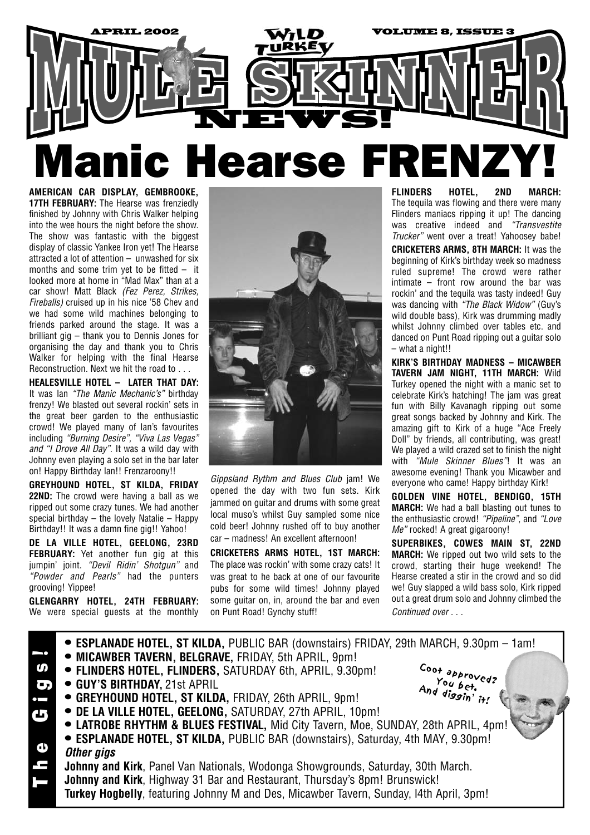

**AMERICAN CAR DISPLAY, GEMBROOKE, 17TH FEBRUARY:** The Hearse was frenziedly finished by Johnny with Chris Walker helping into the wee hours the night before the show. The show was fantastic with the biggest display of classic Yankee Iron yet! The Hearse attracted a lot of attention – unwashed for six months and some trim yet to be fitted – it looked more at home in "Mad Max" than at a car show! Matt Black *(Fez Perez, Strikes, Fireballs)* cruised up in his nice '58 Chev and we had some wild machines belonging to friends parked around the stage. It was a brilliant gig – thank you to Dennis Jones for organising the day and thank you to Chris Walker for helping with the final Hearse Reconstruction. Next we hit the road to . . .

**HEALESVILLE HOTEL – LATER THAT DAY:**  It was Ian *"The Manic Mechanic's"* birthday frenzy! We blasted out several rockin' sets in the great beer garden to the enthusiastic crowd! We played many of Ian's favourites including *"Burning Desire", "Viva Las Vegas" and "I Drove All Day"*. It was a wild day with Johnny even playing a solo set in the bar later on! Happy Birthday Ian!! Frenzaroony!!

**GREYHOUND HOTEL, ST KILDA, FRIDAY 22ND:** The crowd were having a ball as we ripped out some crazy tunes. We had another special birthday – the lovely Natalie – Happy Birthday!! It was a damn fine gig!! Yahoo!

**DE LA VILLE HOTEL, GEELONG, 23RD FEBRUARY:** Yet another fun gig at this jumpin' joint. *"Devil Ridin' Shotgun"* and *"Powder and Pearls"* had the punters grooving! Yippee!

**GLENGARRY HOTEL, 24TH FEBRUARY:**  We were special quests at the monthly



*Gippsland Rythm and Blues Club* jam! We opened the day with two fun sets. Kirk jammed on guitar and drums with some great local muso's whilst Guy sampled some nice cold beer! Johnny rushed off to buy another car – madness! An excellent afternoon!

**CRICKETERS ARMS HOTEL, 1ST MARCH:** The place was rockin' with some crazy cats! It was great to he back at one of our favourite pubs for some wild times! Johnny played some guitar on, in, around the bar and even on Punt Road! Gynchy stuff!

**FLINDERS HOTEL, 2ND MARCH:** The tequila was flowing and there were many Flinders maniacs ripping it up! The dancing was creative indeed and *"Transvestite Trucker"* went over a treat! Yahoosey babe!

**CRICKETERS ARMS, 8TH MARCH:** It was the beginning of Kirk's birthday week so madness ruled supreme! The crowd were rather intimate – front row around the bar was rockin' and the tequila was tasty indeed! Guy was dancing with *"The Black Widow"* (Guy's wild double bass), Kirk was drumming madly whilst Johnny climbed over tables etc. and danced on Punt Road ripping out a guitar solo – what a night!!

**KIRK'S BIRTHDAY MADNESS – MICAWBER TAVERN JAM NIGHT, 11TH MARCH:** Wild Turkey opened the night with a manic set to celebrate Kirk's hatching! The jam was great fun with Billy Kavanagh ripping out some great songs backed by Johnny and Kirk. The amazing gift to Kirk of a huge "Ace Freely Doll" by friends, all contributing, was great! We played a wild crazed set to finish the night with *"Mule Skinner Blues"*! It was an awesome evening! Thank you Micawber and everyone who came! Happy birthday Kirk!

**GOLDEN VINE HOTEL, BENDIGO, 15TH MARCH:** We had a ball blasting out tunes to the enthusiastic crowd! *"Pipeline"*, and *"Love Me"* rocked! A great gigaroony!

**SUPERBIKES, COWES MAIN ST, 22ND MARCH:** We ripped out two wild sets to the crowd, starting their huge weekend! The Hearse created a stir in the crowd and so did we! Guy slapped a wild bass solo, Kirk ripped out a great drum solo and Johnny climbed the *Continued over . . .*